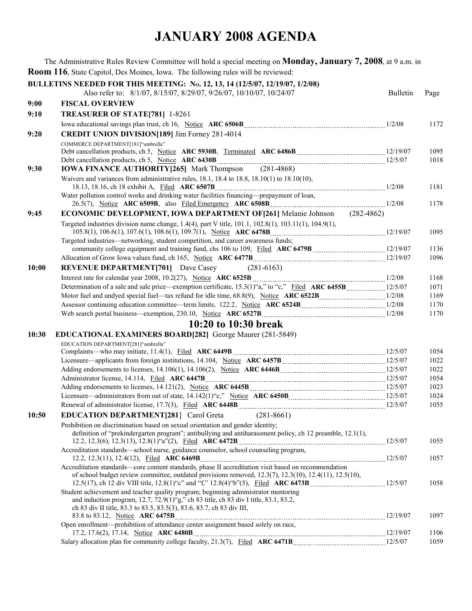|       | The Administrative Rules Review Committee will hold a special meeting on <b>Monday, January 7, 2008</b> , at 9 a.m. in                                                                                                                              |                 |              |
|-------|-----------------------------------------------------------------------------------------------------------------------------------------------------------------------------------------------------------------------------------------------------|-----------------|--------------|
|       | <b>Room 116</b> , State Capitol, Des Moines, Iowa. The following rules will be reviewed:                                                                                                                                                            |                 |              |
|       | BULLETINS NEEDED FOR THIS MEETING: No. 12, 13, 14 (12/5/07, 12/19/07, 1/2/08)<br>Also refer to: 8/1/07, 8/15/07, 8/29/07, 9/26/07, 10/10/07, 10/24/07                                                                                               | <b>Bulletin</b> | Page         |
| 9:00  | <b>FISCAL OVERVIEW</b>                                                                                                                                                                                                                              |                 |              |
| 9:10  | TREASURER OF STATE[781] 1-8261                                                                                                                                                                                                                      |                 |              |
|       |                                                                                                                                                                                                                                                     |                 | 1172         |
| 9:20  | <b>CREDIT UNION DIVISION[189] Jim Forney 281-4014</b>                                                                                                                                                                                               |                 |              |
|       | COMMERCE DEPARTMENT[181]"umbrella"                                                                                                                                                                                                                  |                 |              |
|       |                                                                                                                                                                                                                                                     |                 | 1095         |
|       |                                                                                                                                                                                                                                                     |                 | 1018         |
| 9:30  | <b>IOWA FINANCE AUTHORITY [265]</b> Mark Thompson (281-4868)                                                                                                                                                                                        |                 |              |
|       | Waivers and variances from administrative rules, $18.1$ , $18.4$ to $18.8$ , $18.10(1)$ to $18.10(10)$ ,                                                                                                                                            |                 | 1181         |
|       | Water pollution control works and drinking water facilities financing-prepayment of loan,                                                                                                                                                           |                 |              |
|       |                                                                                                                                                                                                                                                     |                 | 1178         |
| 9:45  | <b>ECONOMIC DEVELOPMENT, IOWA DEPARTMENT OF [261]</b> Melanie Johnson (282-4862)                                                                                                                                                                    |                 |              |
|       | Targeted industries division name change, 1.4(4), part V title, 101.1, 102.8(1), 103.11(1), 104.9(1),                                                                                                                                               |                 |              |
|       | Targeted industries—networking, student competition, and career awareness funds;                                                                                                                                                                    |                 | 1095         |
|       |                                                                                                                                                                                                                                                     |                 | 1136         |
|       |                                                                                                                                                                                                                                                     |                 | 1096         |
| 10:00 | <b>REVENUE DEPARTMENT[701]</b> Dave Casey<br>$(281-6163)$                                                                                                                                                                                           |                 |              |
|       |                                                                                                                                                                                                                                                     |                 | 1168         |
|       |                                                                                                                                                                                                                                                     |                 | 1071         |
|       |                                                                                                                                                                                                                                                     |                 | 1169         |
|       |                                                                                                                                                                                                                                                     |                 | 1170         |
|       |                                                                                                                                                                                                                                                     |                 | 1170         |
|       | 10:20 to 10:30 break                                                                                                                                                                                                                                |                 |              |
| 10:30 | <b>EDUCATIONAL EXAMINERS BOARD[282]</b> George Maurer (281-5849)                                                                                                                                                                                    |                 |              |
|       | EDUCATION DEPARTMENT[281]"umbrella"                                                                                                                                                                                                                 |                 |              |
|       |                                                                                                                                                                                                                                                     |                 | 1054         |
|       |                                                                                                                                                                                                                                                     |                 | 1022         |
|       | Adding endorsements to licenses, 14.106(1), 14.106(2), Notice ARC 6446B<br>12/5/07                                                                                                                                                                  |                 | 1022         |
|       |                                                                                                                                                                                                                                                     |                 | 1054         |
|       |                                                                                                                                                                                                                                                     |                 | 1023         |
|       |                                                                                                                                                                                                                                                     |                 | 1024<br>1055 |
| 10:50 | $(281 - 8661)$<br><b>EDUCATION DEPARTMENT[281]</b> Carol Greta                                                                                                                                                                                      |                 |              |
|       | Prohibition on discrimination based on sexual orientation and gender identity;                                                                                                                                                                      |                 |              |
|       | definition of "prekindergarten program"; antibullying and antiharassment policy, ch 12 preamble, 12.1(1),                                                                                                                                           |                 |              |
|       |                                                                                                                                                                                                                                                     |                 | 1055         |
|       | Accreditation standards—school nurse, guidance counselor, school counseling program,                                                                                                                                                                |                 | 1057         |
|       | Accreditation standards—core content standards, phase II accreditation visit based on recommendation                                                                                                                                                |                 |              |
|       | of school budget review committee, outdated provisions removed, $12.3(7)$ , $12.3(10)$ , $12.4(11)$ , $12.5(10)$ ,                                                                                                                                  |                 | 1058         |
|       | Student achievement and teacher quality program; beginning administrator mentoring<br>and induction program, 12.7, 72.9(1)"g," ch 83 title, ch 83 div I title, 83.1, 83.2,<br>ch 83 div II title, 83.3 to 83.5, 83.5(3), 83.6, 83.7, ch 83 div III, |                 |              |
|       | Open enrollment—prohibition of attendance center assignment based solely on race,                                                                                                                                                                   |                 | 1097         |
|       |                                                                                                                                                                                                                                                     |                 | 1106         |
|       |                                                                                                                                                                                                                                                     |                 | 1059         |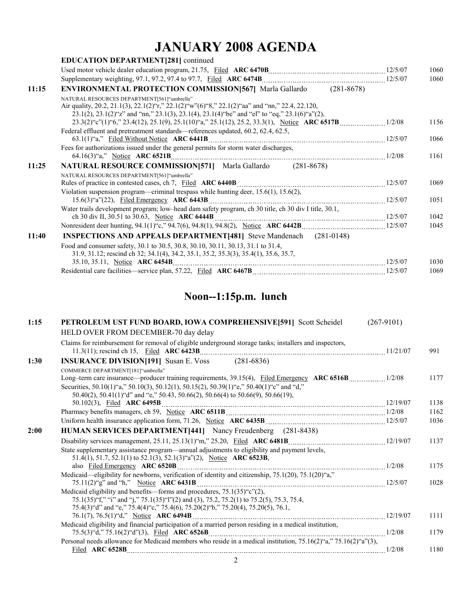|       | <b>EDUCATION DEPARTMENT[281] continued</b>                                                                                                                                                                                                                     |      |
|-------|----------------------------------------------------------------------------------------------------------------------------------------------------------------------------------------------------------------------------------------------------------------|------|
|       |                                                                                                                                                                                                                                                                | 1060 |
|       |                                                                                                                                                                                                                                                                | 1060 |
| 11:15 | <b>ENVIRONMENTAL PROTECTION COMMISSION 567 Marla Gallardo</b> (281-8678)                                                                                                                                                                                       |      |
|       | NATURAL RESOURCES DEPARTMENT[561]"umbrella"<br>Air quality, 20.2, 21.1(3), 22.1(2)"r," 22.1(2)"w"(6)"8," 22.1(2)"aa" and "nn," 22.4, 22.120,<br>$23.1(2)$ , $23.1(2)$ and "nn," $23.1(3)$ , $23.1(4)$ , $23.1(4)$ "be" and "el" to "eq," $23.1(6)$ "a" $(2)$ , |      |
|       |                                                                                                                                                                                                                                                                | 1156 |
|       | Federal effluent and pretreatment standards—references updated, 60.2, 62.4, 62.5,                                                                                                                                                                              | 1066 |
|       | Fees for authorizations issued under the general permits for storm water discharges,                                                                                                                                                                           | 1161 |
| 11:25 | <b>NATURAL RESOURCE COMMISSION[571]</b> Marla Gallardo (281-8678)                                                                                                                                                                                              |      |
|       | NATURAL RESOURCES DEPARTMENT[561] "umbrella"                                                                                                                                                                                                                   | 1069 |
|       | Violation suspension program—criminal trespass while hunting deer, 15.6(1), 15.6(2),                                                                                                                                                                           | 1051 |
|       | Water trails development program; low-head dam safety program, ch 30 title, ch 30 div I title, 30.1,                                                                                                                                                           | 1042 |
|       |                                                                                                                                                                                                                                                                | 1045 |
| 11:40 | <b>INSPECTIONS AND APPEALS DEPARTMENT[481]</b> Steve Mandenach (281-0148)                                                                                                                                                                                      |      |
|       | Food and consumer safety, 30.1 to 30.5, 30.8, 30.10, 30.11, 30.13, 31.1 to 31.4,<br>31.9, 31.12; rescind ch 32; 34.1(4), 34.2, 35.1, 35.2, 35.3(3), 35.4(1), 35.6, 35.7,                                                                                       |      |
|       |                                                                                                                                                                                                                                                                | 1030 |
|       |                                                                                                                                                                                                                                                                | 1069 |

#### **Noon--1:15p.m. lunch**

| 1:15 | PETROLEUM UST FUND BOARD, IOWA COMPREHENSIVE[591] Scott Scheidel                                                | $(267-9101)$ |      |
|------|-----------------------------------------------------------------------------------------------------------------|--------------|------|
|      | HELD OVER FROM DECEMBER-70 day delay                                                                            |              |      |
|      | Claims for reimbursement for removal of eligible underground storage tanks; installers and inspectors,          |              | 991  |
| 1:30 | <b>INSURANCE DIVISION[191]</b> Susan E. Voss (281-6836)                                                         |              |      |
|      | COMMERCE DEPARTMENT[181]"umbrella"                                                                              |              |      |
|      |                                                                                                                 |              | 1177 |
|      | Securities, 50.10(1)"a," 50.10(3), 50.12(1), 50.15(2), 50.39(1)"e," 50.40(1)"c" and "d,"                        |              |      |
|      | 50.40(2), 50.41(1)"d" and "e," 50.43, 50.66(2), 50.66(4) to 50.66(9), 50.66(19),<br>50.102(3), Filed ARC 6495B  |              | 1138 |
|      |                                                                                                                 |              | 1162 |
|      |                                                                                                                 |              | 1036 |
| 2:00 | HUMAN SERVICES DEPARTMENT[441] Nancy Freudenberg (281-8438)                                                     |              |      |
|      |                                                                                                                 |              | 1137 |
|      | State supplementary assistance program—annual adjustments to eligibility and payment levels,                    |              |      |
|      | 51.4(1), 51.7, 52.1(1) to 52.1(3), 52.1(3) "a"(2), Notice ARC 6523B,                                            |              |      |
|      |                                                                                                                 |              | 1175 |
|      | Medicaid—eligibility for newborns, verification of identity and citizenship, 75.1(20), 75.1(20) "a,"            |              | 1028 |
|      | Medicaid eligibility and benefits—forms and procedures, $75.1(35)$ "c" $(2)$ ,                                  |              |      |
|      | 75.1(35)"f," "i" and "j," 75.1(35)"l"(2) and (3), 75.2, 75.2(1) to 75.2(5), 75.3, 75.4,                         |              |      |
|      | 75.4(3) "d" and "e," 75.4(4) "c," 75.4(6), 75.20(2) "b," 75.20(4), 75.20(5), 76.1,                              |              |      |
|      |                                                                                                                 |              | 1111 |
|      | Medicaid eligibility and financial participation of a married person residing in a medical institution,         |              |      |
|      |                                                                                                                 |              | 1179 |
|      | Personal needs allowance for Medicaid members who reside in a medical institution, 75.16(2)"a," 75.16(2)"a"(3), |              |      |
|      |                                                                                                                 |              | 1180 |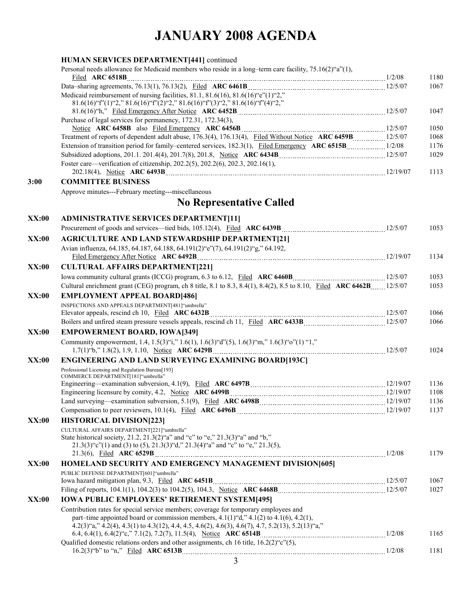|              | HUMAN SERVICES DEPARTMENT[441] continued                                                                                                                                                 |        |              |
|--------------|------------------------------------------------------------------------------------------------------------------------------------------------------------------------------------------|--------|--------------|
|              | Personal needs allowance for Medicaid members who reside in a long-term care facility, 75.16(2)"a"(1),                                                                                   |        |              |
|              |                                                                                                                                                                                          |        | 1180         |
|              | Medicaid reimbursement of nursing facilities, 81.1, 81.6(16), 81.6(16) "e"(1)"2,"                                                                                                        |        | 1067         |
|              | $81.6(16)$ "f"(1)"2," $81.6(16)$ "f"(2)"2," $81.6(16)$ "f"(3)"2," $81.6(16)$ "f"(4)"2,"                                                                                                  |        |              |
|              |                                                                                                                                                                                          |        | 1047         |
|              | Purchase of legal services for permanency, 172.31, 172.34(3),                                                                                                                            |        |              |
|              |                                                                                                                                                                                          |        | 1050         |
|              | Treatment of reports of dependent adult abuse, 176.3(4), 176.13(4), Filed Without Notice ARC 6459B 12/5/07                                                                               |        | 1068         |
|              | Extension of transition period for family-centered services, 182.3(1), Filed Emergency ARC 6515B  1/2/08                                                                                 |        | 1176         |
|              |                                                                                                                                                                                          |        | 1029         |
|              | Foster care—verification of citizenship, 202.2(5), 202.2(6), 202.3, 202.16(1),                                                                                                           |        | 1113         |
| 3:00         | <b>COMMITTEE BUSINESS</b>                                                                                                                                                                |        |              |
|              | Approve minutes---February meeting---miscellaneous                                                                                                                                       |        |              |
|              |                                                                                                                                                                                          |        |              |
|              | <b>No Representative Called</b>                                                                                                                                                          |        |              |
| XX:00        | <b>ADMINISTRATIVE SERVICES DEPARTMENT[11]</b>                                                                                                                                            |        |              |
|              |                                                                                                                                                                                          |        | 1053         |
| XX:00        | <b>AGRICULTURE AND LAND STEWARDSHIP DEPARTMENT[21]</b>                                                                                                                                   |        |              |
|              | Avian influenza, 64.185, 64.187, 64.188, 64.191(2)"e"(7), 64.191(2)"g," 64.192,                                                                                                          |        |              |
|              |                                                                                                                                                                                          |        | 1134         |
| <b>XX:00</b> | <b>CULTURAL AFFAIRS DEPARTMENT[221]</b>                                                                                                                                                  |        |              |
|              |                                                                                                                                                                                          |        | 1053         |
|              | Cultural enrichment grant (CEG) program, ch 8 title, 8.1 to 8.3, 8.4(1), 8.4(2), 8.5 to 8.10, Filed ARC 6462B 12/5/07                                                                    |        | 1053         |
| XX:00        | <b>EMPLOYMENT APPEAL BOARD[486]</b>                                                                                                                                                      |        |              |
|              | INSPECTIONS AND APPEALS DEPARTMENT[481] "umbrella"                                                                                                                                       |        |              |
|              |                                                                                                                                                                                          |        | 1066<br>1066 |
|              | <b>EMPOWERMENT BOARD, IOWA[349]</b>                                                                                                                                                      |        |              |
| XX:00        | Community empowerment, 1.4, 1.5(3)"i," 1.6(1), 1.6(3)"d"(5), 1.6(3)"m," 1.6(3)"o"(1) "1,"                                                                                                |        |              |
|              |                                                                                                                                                                                          |        | 1024         |
| XX:00        | ENGINEERING AND LAND SURVEYING EXAMINING BOARD[193C]                                                                                                                                     |        |              |
|              | Professional Licensing and Regulation Bureau[193]                                                                                                                                        |        |              |
|              | COMMERCE DEPARTMENT[181] "umbrella"                                                                                                                                                      |        |              |
|              |                                                                                                                                                                                          |        | 1136         |
|              |                                                                                                                                                                                          |        | 1108         |
|              |                                                                                                                                                                                          |        | 1136<br>1137 |
| XX:00        | <b>HISTORICAL DIVISION[223]</b>                                                                                                                                                          |        |              |
|              | CULTURAL AFFAIRS DEPARTMENT[221]"umbrella"                                                                                                                                               |        |              |
|              | State historical society, 21.2, 21.3(2)"a" and "c" to "e," 21.3(3)"a" and "b,"                                                                                                           |        |              |
|              | $21.3(3)$ "c"(1) and (3) to (5), $21.3(3)$ "d," $21.3(4)$ "a" and "c" to "e," $21.3(5)$ ,                                                                                                |        |              |
|              |                                                                                                                                                                                          |        | 1179         |
| <b>XX:00</b> | HOMELAND SECURITY AND EMERGENCY MANAGEMENT DIVISION[605]                                                                                                                                 |        |              |
|              | PUBLIC DEFENSE DEPARTMENT[601] "umbrella"                                                                                                                                                |        |              |
|              |                                                                                                                                                                                          |        | 1067         |
|              |                                                                                                                                                                                          |        | 1027         |
| XX:00        | <b>IOWA PUBLIC EMPLOYEES' RETIREMENT SYSTEM[495]</b>                                                                                                                                     |        |              |
|              | Contribution rates for special service members; coverage for temporary employees and<br>part-time appointed board or commission members, $4.1(1)$ "d," $4.1(2)$ to $4.1(6)$ , $4.2(1)$ , |        |              |
|              | $4.2(3)$ "a," $4.2(4)$ , $4.3(1)$ to $4.3(12)$ , $4.4$ , $4.5$ , $4.6(2)$ , $4.6(3)$ , $4.6(7)$ , $4.7$ , $5.2(13)$ , $5.2(13)$ "a,"                                                     |        |              |
|              |                                                                                                                                                                                          |        | 1165         |
|              | Qualified domestic relations orders and other assignments, ch 16 title, 16.2(2) "c"(5),                                                                                                  |        |              |
|              | $16.2(3)$ "b" to "n," Filed ARC 6513B                                                                                                                                                    | 1/2/08 | 1181         |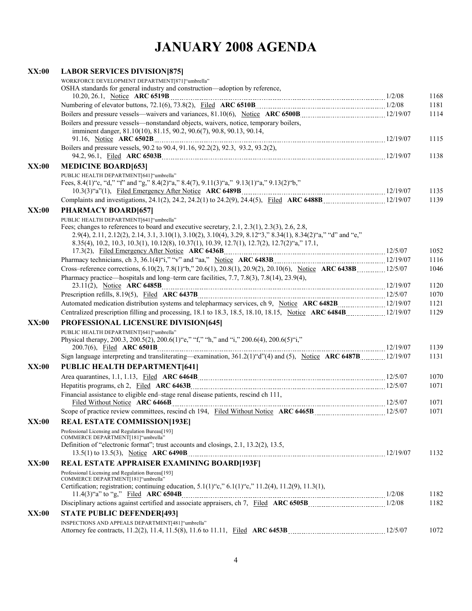| <b>XX:00</b> | <b>LABOR SERVICES DIVISION[875]</b>                                                                                                                             |              |
|--------------|-----------------------------------------------------------------------------------------------------------------------------------------------------------------|--------------|
|              | WORKFORCE DEVELOPMENT DEPARTMENT[871]"umbrella"                                                                                                                 |              |
|              | OSHA standards for general industry and construction—adoption by reference,                                                                                     |              |
|              |                                                                                                                                                                 | 1168         |
|              |                                                                                                                                                                 | 1181         |
|              | Boilers and pressure vessels—nonstandard objects, waivers, notice, temporary boilers,                                                                           | 1114         |
|              | imminent danger, 81.10(10), 81.15, 90.2, 90.6(7), 90.8, 90.13, 90.14,                                                                                           |              |
|              |                                                                                                                                                                 | 1115         |
|              | Boilers and pressure vessels, 90.2 to 90.4, 91.16, 92.2(2), 92.3, 93.2, 93.2(2),                                                                                |              |
|              |                                                                                                                                                                 | 1138         |
| <b>XX:00</b> | <b>MEDICINE BOARD[653]</b>                                                                                                                                      |              |
|              | PUBLIC HEALTH DEPARTMENT[641]"umbrella"                                                                                                                         |              |
|              | Fees, 8.4(1)"c, "d," "f" and "g," 8.4(2)"a," 8.4(7), 9.11(3)"a," 9.13(1)"a," 9.13(2)"b,"                                                                        | 1135         |
|              |                                                                                                                                                                 | 1139         |
| <b>XX:00</b> | PHARMACY BOARD[657]                                                                                                                                             |              |
|              | PUBLIC HEALTH DEPARTMENT[641]"umbrella"                                                                                                                         |              |
|              | Fees; changes to references to board and executive secretary, 2.1, 2.3(1), 2.3(3), 2.6, 2.8,                                                                    |              |
|              | 2.9(4), 2.11, 2.12(2), 2.14, 3.1, 3.10(1), 3.10(2), 3.10(4), 3.29, 8.12 <sup>*</sup> 3," 8.34(1), 8.34(2) <sup>*</sup> a," <sup>*</sup> d" and <sup>*</sup> e," |              |
|              | 8.35(4), 10.2, 10.3, 10.3(1), 10.12(8), 10.37(1), 10.39, 12.7(1), 12.7(2), 12.7(2) "a," 17.1,                                                                   |              |
|              |                                                                                                                                                                 | 1052         |
|              |                                                                                                                                                                 | 1116         |
|              | Cross–reference corrections, 6.10(2), 7.8(1) "b," 20.6(1), 20.8(1), 20.9(2), 20.10(6), Notice ARC 6438B12/5/07                                                  | 1046         |
|              | Pharmacy practice—hospitals and long-term care facilities, 7.7, 7.8(3), 7.8(14), 23.9(4),                                                                       | 1120         |
|              |                                                                                                                                                                 | 1070         |
|              | Automated medication distribution systems and telepharmacy services, ch 9, Notice ARC 6482B  12/19/07                                                           | 1121         |
|              |                                                                                                                                                                 | 1129         |
| XX:00        | PROFESSIONAL LICENSURE DIVISION[645]                                                                                                                            |              |
|              | PUBLIC HEALTH DEPARTMENT[641]"umbrella"                                                                                                                         |              |
|              | Physical therapy, 200.3, 200.5(2), 200.6(1) "e," "f," "h," and "i," 200.6(4), 200.6(5) "i,"                                                                     |              |
|              |                                                                                                                                                                 | 1139         |
|              | Sign language interpreting and transliterating—examination, 361.2(1) "d"(4) and (5), Notice ARC 6487B12/19/07                                                   | 1131         |
| XX:00        | PUBLIC HEALTH DEPARTMENT[641]                                                                                                                                   |              |
|              |                                                                                                                                                                 | 1070         |
|              |                                                                                                                                                                 | 1071         |
|              | Financial assistance to eligible end-stage renal disease patients, rescind ch 111,                                                                              |              |
|              |                                                                                                                                                                 | 1071<br>1071 |
| XX:00        | Scope of practice review committees, rescind ch 194, Filed Without Notice ARC 6465B [12/5/07] 12/5/07<br><b>REAL ESTATE COMMISSION[193E]</b>                    |              |
|              | Professional Licensing and Regulation Bureau[193]                                                                                                               |              |
|              | COMMERCE DEPARTMENT[181]"umbrella"                                                                                                                              |              |
|              | Definition of "electronic format"; trust accounts and closings, 2.1, 13.2(2), 13.5,                                                                             |              |
|              |                                                                                                                                                                 | 1132         |
| <b>XX:00</b> | REAL ESTATE APPRAISER EXAMINING BOARD[193F]                                                                                                                     |              |
|              | Professional Licensing and Regulation Bureau[193]<br>COMMERCE DEPARTMENT[181]"umbrella"                                                                         |              |
|              | Certification; registration; continuing education, $5.1(1)$ "c," $6.1(1)$ "c," $11.2(4)$ , $11.2(9)$ , $11.3(1)$ ,                                              |              |
|              |                                                                                                                                                                 | 1182         |
|              |                                                                                                                                                                 | 1182         |
| XX:00        | <b>STATE PUBLIC DEFENDER[493]</b>                                                                                                                               |              |
|              | INSPECTIONS AND APPEALS DEPARTMENT[481] "umbrella"                                                                                                              |              |
|              |                                                                                                                                                                 | 1072         |